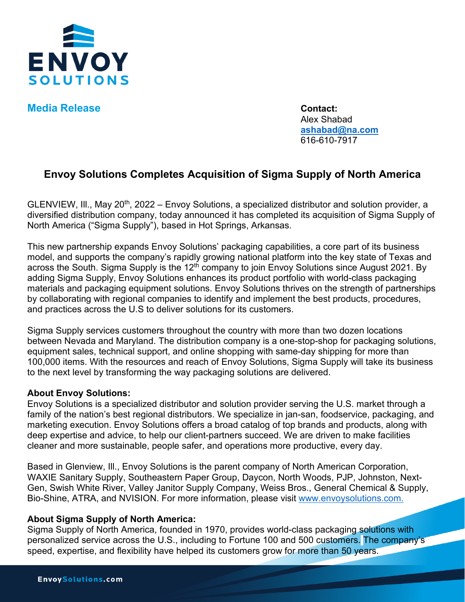

**Media Release Contact:** 

Alex Shabad **[ashabad@na.com](mailto:ashabad@na.com)** 616-610-7917

## **Envoy Solutions Completes Acquisition of Sigma Supply of North America**

GLENVIEW, III., May 20<sup>th</sup>, 2022 – Envoy Solutions, a specialized distributor and solution provider, a diversified distribution company, today announced it has completed its acquisition of Sigma Supply of North America ("Sigma Supply"), based in Hot Springs, Arkansas.

This new partnership expands Envoy Solutions' packaging capabilities, a core part of its business model, and supports the company's rapidly growing national platform into the key state of Texas and across the South. Sigma Supply is the 12<sup>th</sup> company to join Envoy Solutions since August 2021. By adding Sigma Supply, Envoy Solutions enhances its product portfolio with world-class packaging materials and packaging equipment solutions. Envoy Solutions thrives on the strength of partnerships by collaborating with regional companies to identify and implement the best products, procedures, and practices across the U.S to deliver solutions for its customers.

Sigma Supply services customers throughout the country with more than two dozen locations between Nevada and Maryland. The distribution company is a one-stop-shop for packaging solutions, equipment sales, technical support, and online shopping with same-day shipping for more than 100,000 items. With the resources and reach of Envoy Solutions, Sigma Supply will take its business to the next level by transforming the way packaging solutions are delivered.

## **About Envoy Solutions:**

Envoy Solutions is a specialized distributor and solution provider serving the U.S. market through a family of the nation's best regional distributors. We specialize in jan-san, foodservice, packaging, and marketing execution. Envoy Solutions offers a broad catalog of top brands and products, along with deep expertise and advice, to help our client-partners succeed. We are driven to make facilities cleaner and more sustainable, people safer, and operations more productive, every day.

Based in Glenview, Ill., Envoy Solutions is the parent company of North American Corporation, WAXIE Sanitary Supply, Southeastern Paper Group, Daycon, North Woods, PJP, Johnston, Next-Gen, Swish White River, Valley Janitor Supply Company, Weiss Bros., General Chemical & Supply, Bio-Shine, ATRA, and NVISION. For more information, please visit [www.envoysolutions.com.](http://www.envoysolutions.com/)

## **About Sigma Supply of North America:**

Sigma Supply of North America, founded in 1970, provides world-class packaging solutions with personalized service across the U.S., including to Fortune 100 and 500 customers. The company's speed, expertise, and flexibility have helped its customers grow for more than 50 years.